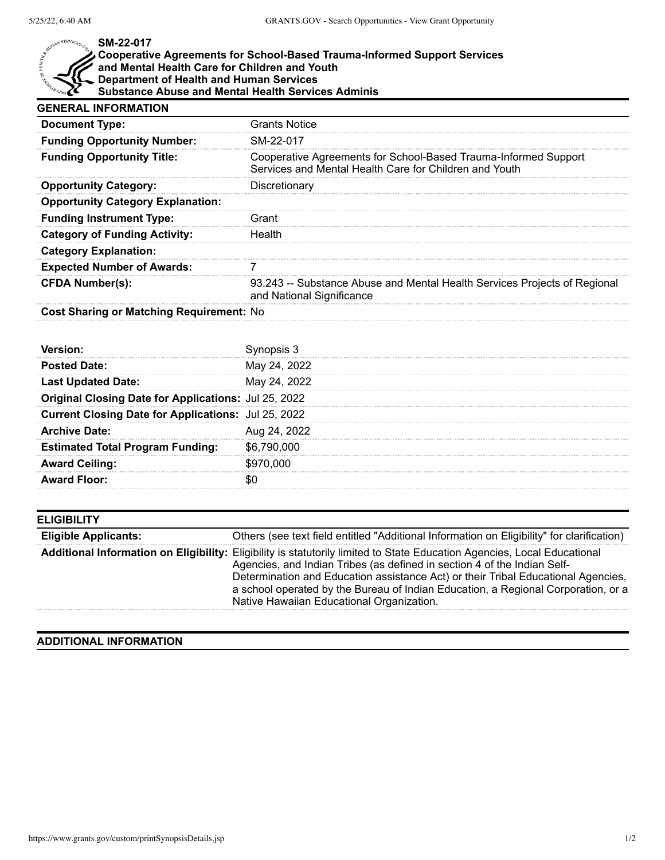## $x^{SERVICE}$

## **SM-22-017**

## **Cooperative Agreements for School-Based Trauma-Informed Support Services and Mental Health Care for Children and Youth Department of Health and Human Services**

**Substance Abuse and Mental Health Services Adminis**

| <b>GENERAL INFORMATION</b>               |                                                                                                                           |  |
|------------------------------------------|---------------------------------------------------------------------------------------------------------------------------|--|
| <b>Document Type:</b>                    | <b>Grants Notice</b>                                                                                                      |  |
| <b>Funding Opportunity Number:</b>       | SM-22-017                                                                                                                 |  |
| <b>Funding Opportunity Title:</b>        | Cooperative Agreements for School-Based Trauma-Informed Support<br>Services and Mental Health Care for Children and Youth |  |
| <b>Opportunity Category:</b>             | Discretionary                                                                                                             |  |
| <b>Opportunity Category Explanation:</b> |                                                                                                                           |  |
| <b>Funding Instrument Type:</b>          | Grant                                                                                                                     |  |
| <b>Category of Funding Activity:</b>     | Health                                                                                                                    |  |
| <b>Category Explanation:</b>             |                                                                                                                           |  |
| <b>Expected Number of Awards:</b>        |                                                                                                                           |  |
| <b>CFDA Number(s):</b>                   | 93.243 -- Substance Abuse and Mental Health Services Projects of Regional<br>and National Significance                    |  |

**Cost Sharing or Matching Requirement:** No

|                                                      | Synopsis 3   |
|------------------------------------------------------|--------------|
| <b>Posted Date:</b>                                  | May 24, 2022 |
| <b>Last Updated Date:</b>                            | May 24, 2022 |
| Original Closing Date for Applications: Jul 25, 2022 |              |
| Current Closing Date for Applications: Jul 25, 2022  |              |
| <b>Archive Date:</b>                                 | Aug 24, 2022 |
| <b>Estimated Total Program Funding:</b>              | \$6,790,000  |
| <b>Award Ceiling:</b>                                | \$970,000    |
| <b>Award Floor:</b>                                  |              |

| <b>Eligible Applicants:</b> | Others (see text field entitled "Additional Information on Eligibility" for clarification)                                                                                                                                                                                                                                                                                                                                  |
|-----------------------------|-----------------------------------------------------------------------------------------------------------------------------------------------------------------------------------------------------------------------------------------------------------------------------------------------------------------------------------------------------------------------------------------------------------------------------|
|                             | Additional Information on Eligibility: Eligibility is statutorily limited to State Education Agencies, Local Educational<br>Agencies, and Indian Tribes (as defined in section 4 of the Indian Self-<br>Determination and Education assistance Act) or their Tribal Educational Agencies,<br>a school operated by the Bureau of Indian Education, a Regional Corporation, or a<br>Native Hawaiian Educational Organization. |

## **ADDITIONAL INFORMATION**